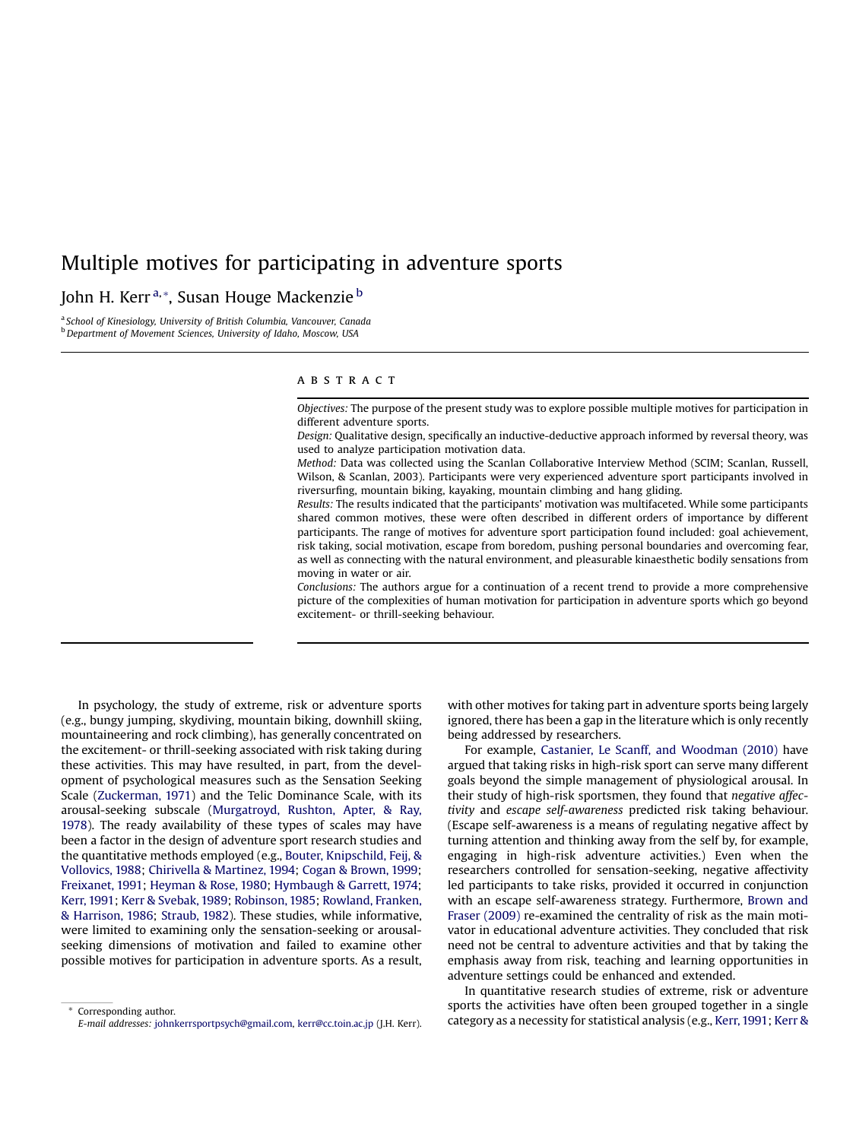# Multiple motives for participating in adventure sports

# John H. Kerr<sup>a,\*</sup>, Susan Houge Mackenzie<sup>b</sup>

<sup>a</sup> School of Kinesiology, University of British Columbia, Vancouver, Canada **b** Department of Movement Sciences, University of Idaho, Moscow, USA

## ABSTRACT

Objectives: The purpose of the present study was to explore possible multiple motives for participation in different adventure sports.

Design: Qualitative design, specifically an inductive-deductive approach informed by reversal theory, was used to analyze participation motivation data.

Method: Data was collected using the Scanlan Collaborative Interview Method (SCIM; Scanlan, Russell, Wilson, & Scanlan, 2003). Participants were very experienced adventure sport participants involved in riversurfing, mountain biking, kayaking, mountain climbing and hang gliding.

Results: The results indicated that the participants' motivation was multifaceted. While some participants shared common motives, these were often described in different orders of importance by different participants. The range of motives for adventure sport participation found included: goal achievement, risk taking, social motivation, escape from boredom, pushing personal boundaries and overcoming fear, as well as connecting with the natural environment, and pleasurable kinaesthetic bodily sensations from moving in water or air.

Conclusions: The authors argue for a continuation of a recent trend to provide a more comprehensive picture of the complexities of human motivation for participation in adventure sports which go beyond excitement- or thrill-seeking behaviour.

In psychology, the study of extreme, risk or adventure sports (e.g., bungy jumping, skydiving, mountain biking, downhill skiing, mountaineering and rock climbing), has generally concentrated on the excitement- or thrill-seeking associated with risk taking during these activities. This may have resulted, in part, from the development of psychological measures such as the Sensation Seeking Scale ([Zuckerman,](#page-8-0) 1971) and the Telic Dominance Scale, with its arousal-seeking subscale ([Murgatroyd,](#page-8-0) Rushton, Apter, & Ray, [1978\)](#page-8-0). The ready availability of these types of scales may have been a factor in the design of adventure sport research studies and the quantitative methods employed (e.g., Bouter, [Knipschild,](#page-7-0) Feij, & [Vollovics,](#page-7-0) 1988; Chirivella & [Martinez,](#page-7-0) 1994; Cogan & [Brown,](#page-7-0) 1999; [Freixanet,](#page-7-0) 1991; [Heyman](#page-7-0) & Rose, 1980; [Hymbaugh](#page-8-0) & Garrett, 1974; Kerr, [1991;](#page-8-0) Kerr & [Svebak,](#page-8-0) 1989; [Robinson,](#page-8-0) 1985; [Rowland,](#page-8-0) Franken, & [Harrison,](#page-8-0) 1986; [Straub,](#page-8-0) 1982). These studies, while informative, were limited to examining only the sensation-seeking or arousalseeking dimensions of motivation and failed to examine other possible motives for participation in adventure sports. As a result, with other motives for taking part in adventure sports being largely ignored, there has been a gap in the literature which is only recently being addressed by researchers.

For example, Castanier, Le Scanff, and [Woodman](#page-7-0) (2010) have argued that taking risks in high-risk sport can serve many different goals beyond the simple management of physiological arousal. In their study of high-risk sportsmen, they found that negative affectivity and escape self-awareness predicted risk taking behaviour. (Escape self-awareness is a means of regulating negative affect by turning attention and thinking away from the self by, for example, engaging in high-risk adventure activities.) Even when the researchers controlled for sensation-seeking, negative affectivity led participants to take risks, provided it occurred in conjunction with an escape self-awareness strategy. Furthermore, [Brown](#page-7-0) and Fraser [\(2009\)](#page-7-0) re-examined the centrality of risk as the main motivator in educational adventure activities. They concluded that risk need not be central to adventure activities and that by taking the emphasis away from risk, teaching and learning opportunities in adventure settings could be enhanced and extended.

In quantitative research studies of extreme, risk or adventure sports the activities have often been grouped together in a single category as a necessity for statistical analysis (e.g., [Kerr,1991;](#page-8-0) [Kerr](#page-8-0) &

Corresponding author. E-mail addresses: johnkerrsportpsych@gmail.com, kerr@cc.toin.ac.jp (J.H. Kerr).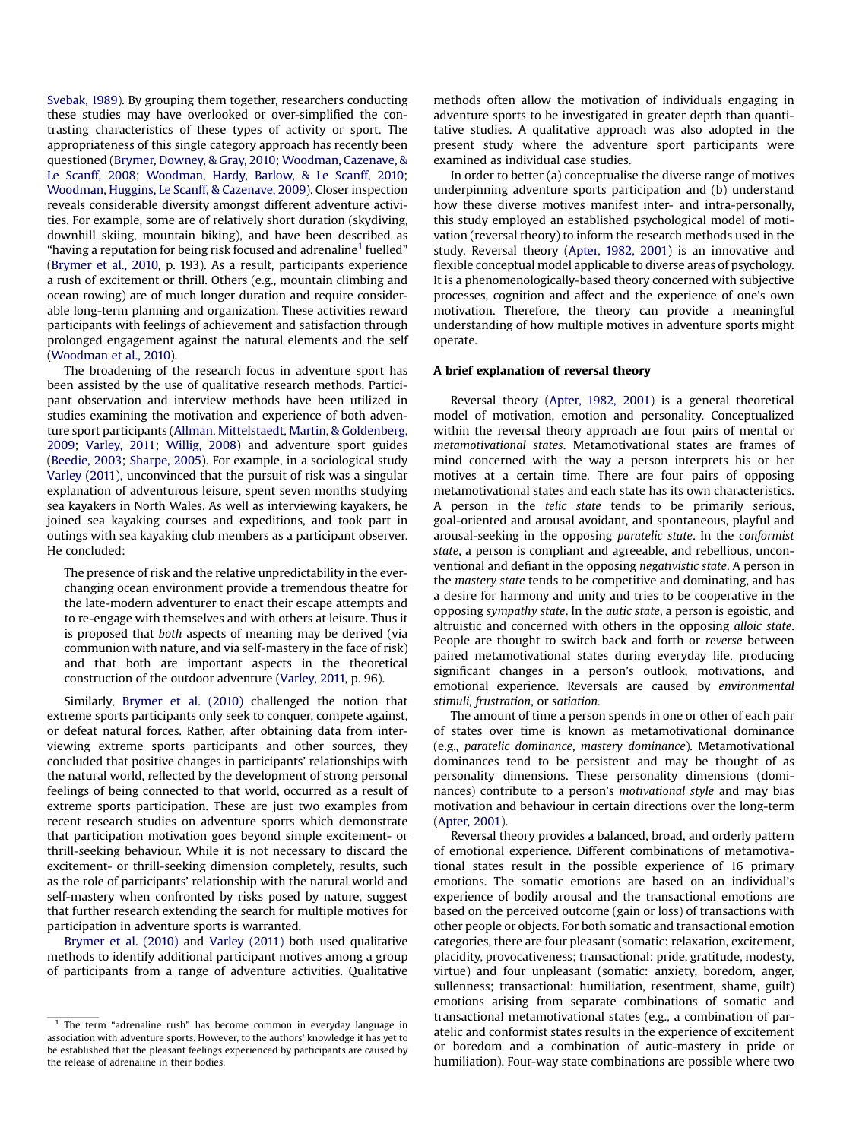[Svebak,](#page-8-0) 1989). By grouping them together, researchers conducting these studies may have overlooked or over-simplified the contrasting characteristics of these types of activity or sport. The appropriateness of this single category approach has recently been questioned (Brymer, [Downey,](#page-7-0) & Gray, 2010; [Woodman,](#page-8-0) Cazenave, & Le [Scanff,](#page-8-0) 2008; [Woodman,](#page-8-0) Hardy, Barlow, & Le Scanff, 2010; [Woodman,](#page-8-0) Huggins, Le Scanff, & Cazenave, 2009). Closer inspection reveals considerable diversity amongst different adventure activities. For example, some are of relatively short duration (skydiving, downhill skiing, mountain biking), and have been described as "having a reputation for being risk focused and adrenaline<sup>1</sup> fuelled" ([Brymer](#page-7-0) et al., 2010, p. 193). As a result, participants experience a rush of excitement or thrill. Others (e.g., mountain climbing and ocean rowing) are of much longer duration and require considerable long-term planning and organization. These activities reward participants with feelings of achievement and satisfaction through prolonged engagement against the natural elements and the self ([Woodman](#page-8-0) et al., 2010).

The broadening of the research focus in adventure sport has been assisted by the use of qualitative research methods. Participant observation and interview methods have been utilized in studies examining the motivation and experience of both adventure sport participants (Allman, [Mittelstaedt,](#page-7-0) Martin, & Goldenberg, [2009](#page-7-0); [Varley,](#page-8-0) 2011; [Willig,](#page-8-0) 2008) and adventure sport guides ([Beedie,](#page-7-0) 2003; [Sharpe,](#page-8-0) 2005). For example, in a sociological study Varley [\(2011\),](#page-8-0) unconvinced that the pursuit of risk was a singular explanation of adventurous leisure, spent seven months studying sea kayakers in North Wales. As well as interviewing kayakers, he joined sea kayaking courses and expeditions, and took part in outings with sea kayaking club members as a participant observer. He concluded:

The presence of risk and the relative unpredictability in the everchanging ocean environment provide a tremendous theatre for the late-modern adventurer to enact their escape attempts and to re-engage with themselves and with others at leisure. Thus it is proposed that both aspects of meaning may be derived (via communion with nature, and via self-mastery in the face of risk) and that both are important aspects in the theoretical construction of the outdoor adventure ([Varley,](#page-8-0) 2011, p. 96).

Similarly, [Brymer](#page-7-0) et al. (2010) challenged the notion that extreme sports participants only seek to conquer, compete against, or defeat natural forces. Rather, after obtaining data from interviewing extreme sports participants and other sources, they concluded that positive changes in participants' relationships with the natural world, reflected by the development of strong personal feelings of being connected to that world, occurred as a result of extreme sports participation. These are just two examples from recent research studies on adventure sports which demonstrate that participation motivation goes beyond simple excitement- or thrill-seeking behaviour. While it is not necessary to discard the excitement- or thrill-seeking dimension completely, results, such as the role of participants' relationship with the natural world and self-mastery when confronted by risks posed by nature, suggest that further research extending the search for multiple motives for participation in adventure sports is warranted.

[Brymer](#page-7-0) et al. (2010) and Varley [\(2011\)](#page-8-0) both used qualitative methods to identify additional participant motives among a group of participants from a range of adventure activities. Qualitative methods often allow the motivation of individuals engaging in adventure sports to be investigated in greater depth than quantitative studies. A qualitative approach was also adopted in the present study where the adventure sport participants were examined as individual case studies.

In order to better (a) conceptualise the diverse range of motives underpinning adventure sports participation and (b) understand how these diverse motives manifest inter- and intra-personally, this study employed an established psychological model of motivation (reversal theory) to inform the research methods used in the study. Reversal theory ([Apter,](#page-7-0) 1982, 2001) is an innovative and flexible conceptual model applicable to diverse areas of psychology. It is a phenomenologically-based theory concerned with subjective processes, cognition and affect and the experience of one's own motivation. Therefore, the theory can provide a meaningful understanding of how multiple motives in adventure sports might operate.

#### A brief explanation of reversal theory

Reversal theory [\(Apter,](#page-7-0) 1982, 2001) is a general theoretical model of motivation, emotion and personality. Conceptualized within the reversal theory approach are four pairs of mental or metamotivational states. Metamotivational states are frames of mind concerned with the way a person interprets his or her motives at a certain time. There are four pairs of opposing metamotivational states and each state has its own characteristics. A person in the telic state tends to be primarily serious, goal-oriented and arousal avoidant, and spontaneous, playful and arousal-seeking in the opposing paratelic state. In the conformist state, a person is compliant and agreeable, and rebellious, unconventional and defiant in the opposing negativistic state. A person in the mastery state tends to be competitive and dominating, and has a desire for harmony and unity and tries to be cooperative in the opposing sympathy state. In the autic state, a person is egoistic, and altruistic and concerned with others in the opposing alloic state. People are thought to switch back and forth or reverse between paired metamotivational states during everyday life, producing significant changes in a person's outlook, motivations, and emotional experience. Reversals are caused by environmental stimuli, frustration, or satiation.

The amount of time a person spends in one or other of each pair of states over time is known as metamotivational dominance (e.g., paratelic dominance, mastery dominance). Metamotivational dominances tend to be persistent and may be thought of as personality dimensions. These personality dimensions (dominances) contribute to a person's motivational style and may bias motivation and behaviour in certain directions over the long-term ([Apter,](#page-7-0) 2001).

Reversal theory provides a balanced, broad, and orderly pattern of emotional experience. Different combinations of metamotivational states result in the possible experience of 16 primary emotions. The somatic emotions are based on an individual's experience of bodily arousal and the transactional emotions are based on the perceived outcome (gain or loss) of transactions with other people or objects. For both somatic and transactional emotion categories, there are four pleasant (somatic: relaxation, excitement, placidity, provocativeness; transactional: pride, gratitude, modesty, virtue) and four unpleasant (somatic: anxiety, boredom, anger, sullenness; transactional: humiliation, resentment, shame, guilt) emotions arising from separate combinations of somatic and transactional metamotivational states (e.g., a combination of paratelic and conformist states results in the experience of excitement or boredom and a combination of autic-mastery in pride or humiliation). Four-way state combinations are possible where two

 $1$  The term "adrenaline rush" has become common in everyday language in association with adventure sports. However, to the authors' knowledge it has yet to be established that the pleasant feelings experienced by participants are caused by the release of adrenaline in their bodies.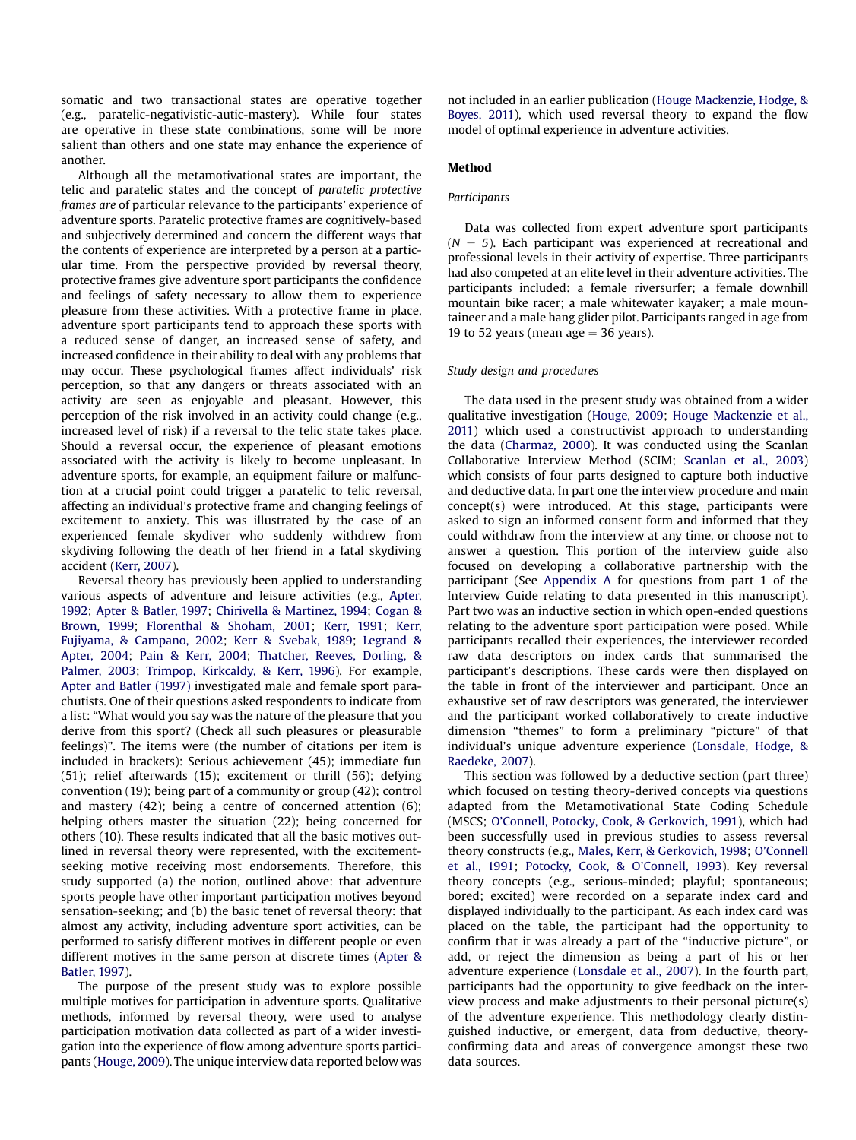somatic and two transactional states are operative together (e.g., paratelic-negativistic-autic-mastery). While four states are operative in these state combinations, some will be more salient than others and one state may enhance the experience of another.

Although all the metamotivational states are important, the telic and paratelic states and the concept of paratelic protective frames are of particular relevance to the participants' experience of adventure sports. Paratelic protective frames are cognitively-based and subjectively determined and concern the different ways that the contents of experience are interpreted by a person at a particular time. From the perspective provided by reversal theory, protective frames give adventure sport participants the confidence and feelings of safety necessary to allow them to experience pleasure from these activities. With a protective frame in place, adventure sport participants tend to approach these sports with a reduced sense of danger, an increased sense of safety, and increased confidence in their ability to deal with any problems that may occur. These psychological frames affect individuals' risk perception, so that any dangers or threats associated with an activity are seen as enjoyable and pleasant. However, this perception of the risk involved in an activity could change (e.g., increased level of risk) if a reversal to the telic state takes place. Should a reversal occur, the experience of pleasant emotions associated with the activity is likely to become unpleasant. In adventure sports, for example, an equipment failure or malfunction at a crucial point could trigger a paratelic to telic reversal, affecting an individual's protective frame and changing feelings of excitement to anxiety. This was illustrated by the case of an experienced female skydiver who suddenly withdrew from skydiving following the death of her friend in a fatal skydiving accident (Kerr, [2007\)](#page-8-0).

Reversal theory has previously been applied to understanding various aspects of adventure and leisure activities (e.g., [Apter,](#page-7-0) [1992](#page-7-0); Apter & [Batler,](#page-7-0) 1997; Chirivella & [Martinez,](#page-7-0) 1994; [Cogan](#page-7-0) & [Brown,](#page-7-0) 1999; [Florenthal](#page-7-0) & Shoham, 2001; Kerr, [1991;](#page-8-0) [Kerr,](#page-8-0) Fujiyama, & [Campano,](#page-8-0) 2002; Kerr & [Svebak,](#page-8-0) 1989; [Legrand](#page-8-0) & [Apter,](#page-8-0) 2004; Pain & Kerr, [2004;](#page-8-0) [Thatcher,](#page-8-0) Reeves, Dorling, & [Palmer,](#page-8-0) 2003; Trimpop, [Kirkcaldy,](#page-8-0) & Kerr, 1996). For example, Apter and Batler [\(1997\)](#page-7-0) investigated male and female sport parachutists. One of their questions asked respondents to indicate from a list: "What would you say was the nature of the pleasure that you derive from this sport? (Check all such pleasures or pleasurable feelings)". The items were (the number of citations per item is included in brackets): Serious achievement (45); immediate fun (51); relief afterwards (15); excitement or thrill (56); defying convention (19); being part of a community or group (42); control and mastery (42); being a centre of concerned attention (6); helping others master the situation (22); being concerned for others (10). These results indicated that all the basic motives outlined in reversal theory were represented, with the excitementseeking motive receiving most endorsements. Therefore, this study supported (a) the notion, outlined above: that adventure sports people have other important participation motives beyond sensation-seeking; and (b) the basic tenet of reversal theory: that almost any activity, including adventure sport activities, can be performed to satisfy different motives in different people or even different motives in the same person at discrete times [\(Apter](#page-7-0) & [Batler,](#page-7-0) 1997).

The purpose of the present study was to explore possible multiple motives for participation in adventure sports. Qualitative methods, informed by reversal theory, were used to analyse participation motivation data collected as part of a wider investigation into the experience of flow among adventure sports participants ([Houge,](#page-7-0) 2009). The unique interview data reported below was not included in an earlier publication (Houge [Mackenzie,](#page-7-0) Hodge, & [Boyes,](#page-7-0) 2011), which used reversal theory to expand the flow model of optimal experience in adventure activities.

# Method

#### **Participants**

Data was collected from expert adventure sport participants  $(N = 5)$ . Each participant was experienced at recreational and professional levels in their activity of expertise. Three participants had also competed at an elite level in their adventure activities. The participants included: a female riversurfer; a female downhill mountain bike racer; a male whitewater kayaker; a male mountaineer and a male hang glider pilot. Participants ranged in age from 19 to 52 years (mean age  $=$  36 years).

#### Study design and procedures

The data used in the present study was obtained from a wider qualitative investigation [\(Houge,](#page-7-0) 2009; Houge [Mackenzie](#page-7-0) et al., [2011\)](#page-7-0) which used a constructivist approach to understanding the data [\(Charmaz,](#page-7-0) 2000). It was conducted using the Scanlan Collaborative Interview Method (SCIM; [Scanlan](#page-8-0) et al., 2003) which consists of four parts designed to capture both inductive and deductive data. In part one the interview procedure and main concept(s) were introduced. At this stage, participants were asked to sign an informed consent form and informed that they could withdraw from the interview at any time, or choose not to answer a question. This portion of the interview guide also focused on developing a collaborative partnership with the participant (See [Appendix](#page-7-0) A for questions from part 1 of the Interview Guide relating to data presented in this manuscript). Part two was an inductive section in which open-ended questions relating to the adventure sport participation were posed. While participants recalled their experiences, the interviewer recorded raw data descriptors on index cards that summarised the participant's descriptions. These cards were then displayed on the table in front of the interviewer and participant. Once an exhaustive set of raw descriptors was generated, the interviewer and the participant worked collaboratively to create inductive dimension "themes" to form a preliminary "picture" of that individual's unique adventure experience [\(Lonsdale,](#page-8-0) Hodge, & [Raedeke,](#page-8-0) 2007).

This section was followed by a deductive section (part three) which focused on testing theory-derived concepts via questions adapted from the Metamotivational State Coding Schedule (MSCS; O'Connell, Potocky, Cook, & [Gerkovich,](#page-8-0) 1991), which had been successfully used in previous studies to assess reversal theory constructs (e.g., Males, Kerr, & [Gerkovich,](#page-8-0) 1998; O'[Connell](#page-8-0) et al., [1991;](#page-8-0) [Potocky,](#page-8-0) Cook, & O'Connell, 1993). Key reversal theory concepts (e.g., serious-minded; playful; spontaneous; bored; excited) were recorded on a separate index card and displayed individually to the participant. As each index card was placed on the table, the participant had the opportunity to confirm that it was already a part of the "inductive picture", or add, or reject the dimension as being a part of his or her adventure experience [\(Lonsdale](#page-8-0) et al., 2007). In the fourth part, participants had the opportunity to give feedback on the interview process and make adjustments to their personal picture(s) of the adventure experience. This methodology clearly distinguished inductive, or emergent, data from deductive, theoryconfirming data and areas of convergence amongst these two data sources.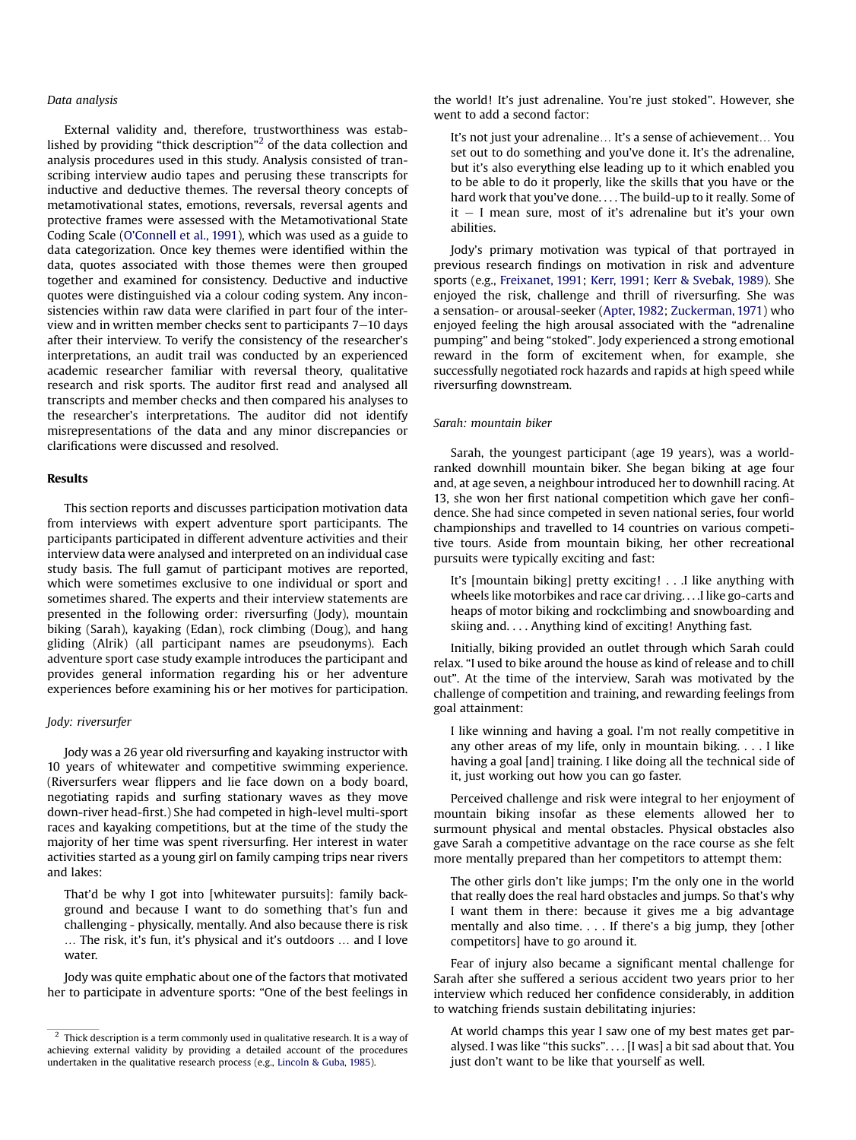# Data analysis

External validity and, therefore, trustworthiness was established by providing "thick description"<sup>2</sup> of the data collection and analysis procedures used in this study. Analysis consisted of transcribing interview audio tapes and perusing these transcripts for inductive and deductive themes. The reversal theory concepts of metamotivational states, emotions, reversals, reversal agents and protective frames were assessed with the Metamotivational State Coding Scale (O'[Connell](#page-8-0) et al., 1991), which was used as a guide to data categorization. Once key themes were identified within the data, quotes associated with those themes were then grouped together and examined for consistency. Deductive and inductive quotes were distinguished via a colour coding system. Any inconsistencies within raw data were clarified in part four of the interview and in written member checks sent to participants  $7-10$  days after their interview. To verify the consistency of the researcher's interpretations, an audit trail was conducted by an experienced academic researcher familiar with reversal theory, qualitative research and risk sports. The auditor first read and analysed all transcripts and member checks and then compared his analyses to the researcher's interpretations. The auditor did not identify misrepresentations of the data and any minor discrepancies or clarifications were discussed and resolved.

## Results

This section reports and discusses participation motivation data from interviews with expert adventure sport participants. The participants participated in different adventure activities and their interview data were analysed and interpreted on an individual case study basis. The full gamut of participant motives are reported, which were sometimes exclusive to one individual or sport and sometimes shared. The experts and their interview statements are presented in the following order: riversurfing (Jody), mountain biking (Sarah), kayaking (Edan), rock climbing (Doug), and hang gliding (Alrik) (all participant names are pseudonyms). Each adventure sport case study example introduces the participant and provides general information regarding his or her adventure experiences before examining his or her motives for participation.

#### Jody: riversurfer

Jody was a 26 year old riversurfing and kayaking instructor with 10 years of whitewater and competitive swimming experience. (Riversurfers wear flippers and lie face down on a body board, negotiating rapids and surfing stationary waves as they move down-river head-first.) She had competed in high-level multi-sport races and kayaking competitions, but at the time of the study the majority of her time was spent riversurfing. Her interest in water activities started as a young girl on family camping trips near rivers and lakes:

That'd be why I got into [whitewater pursuits]: family background and because I want to do something that's fun and challenging - physically, mentally. And also because there is risk ... The risk, it's fun, it's physical and it's outdoors ... and I love water.

Jody was quite emphatic about one of the factors that motivated her to participate in adventure sports: "One of the best feelings in the world! It's just adrenaline. You're just stoked". However, she went to add a second factor:

It's not just your adrenaline... It's a sense of achievement... You set out to do something and you've done it. It's the adrenaline, but it's also everything else leading up to it which enabled you to be able to do it properly, like the skills that you have or the hard work that you've done. . . . The build-up to it really. Some of  $it - I$  mean sure, most of it's adrenaline but it's your own abilities.

Jody's primary motivation was typical of that portrayed in previous research findings on motivation in risk and adventure sports (e.g., [Freixanet,](#page-7-0) 1991; Kerr, [1991](#page-8-0); Kerr & [Svebak,](#page-8-0) 1989). She enjoyed the risk, challenge and thrill of riversurfing. She was a sensation- or arousal-seeker ([Apter,](#page-7-0) 1982; [Zuckerman,](#page-8-0) 1971) who enjoyed feeling the high arousal associated with the "adrenaline pumping" and being "stoked". Jody experienced a strong emotional reward in the form of excitement when, for example, she successfully negotiated rock hazards and rapids at high speed while riversurfing downstream.

#### Sarah: mountain biker

Sarah, the youngest participant (age 19 years), was a worldranked downhill mountain biker. She began biking at age four and, at age seven, a neighbour introduced her to downhill racing. At 13, she won her first national competition which gave her confidence. She had since competed in seven national series, four world championships and travelled to 14 countries on various competitive tours. Aside from mountain biking, her other recreational pursuits were typically exciting and fast:

It's [mountain biking] pretty exciting! . . .I like anything with wheels like motorbikes and race car driving. . . .I like go-carts and heaps of motor biking and rockclimbing and snowboarding and skiing and. . . . Anything kind of exciting! Anything fast.

Initially, biking provided an outlet through which Sarah could relax. "I used to bike around the house as kind of release and to chill out". At the time of the interview, Sarah was motivated by the challenge of competition and training, and rewarding feelings from goal attainment:

I like winning and having a goal. I'm not really competitive in any other areas of my life, only in mountain biking. ...I like having a goal [and] training. I like doing all the technical side of it, just working out how you can go faster.

Perceived challenge and risk were integral to her enjoyment of mountain biking insofar as these elements allowed her to surmount physical and mental obstacles. Physical obstacles also gave Sarah a competitive advantage on the race course as she felt more mentally prepared than her competitors to attempt them:

The other girls don't like jumps; I'm the only one in the world that really does the real hard obstacles and jumps. So that's why I want them in there: because it gives me a big advantage mentally and also time. . . . If there's a big jump, they [other competitors] have to go around it.

Fear of injury also became a significant mental challenge for Sarah after she suffered a serious accident two years prior to her interview which reduced her confidence considerably, in addition to watching friends sustain debilitating injuries:

At world champs this year I saw one of my best mates get paralysed. I was like "this sucks". . . . [I was] a bit sad about that. You just don't want to be like that yourself as well.

 $^{2}$  Thick description is a term commonly used in qualitative research. It is a way of achieving external validity by providing a detailed account of the procedures undertaken in the qualitative research process (e.g., [Lincoln](#page-8-0) & Guba, 1985).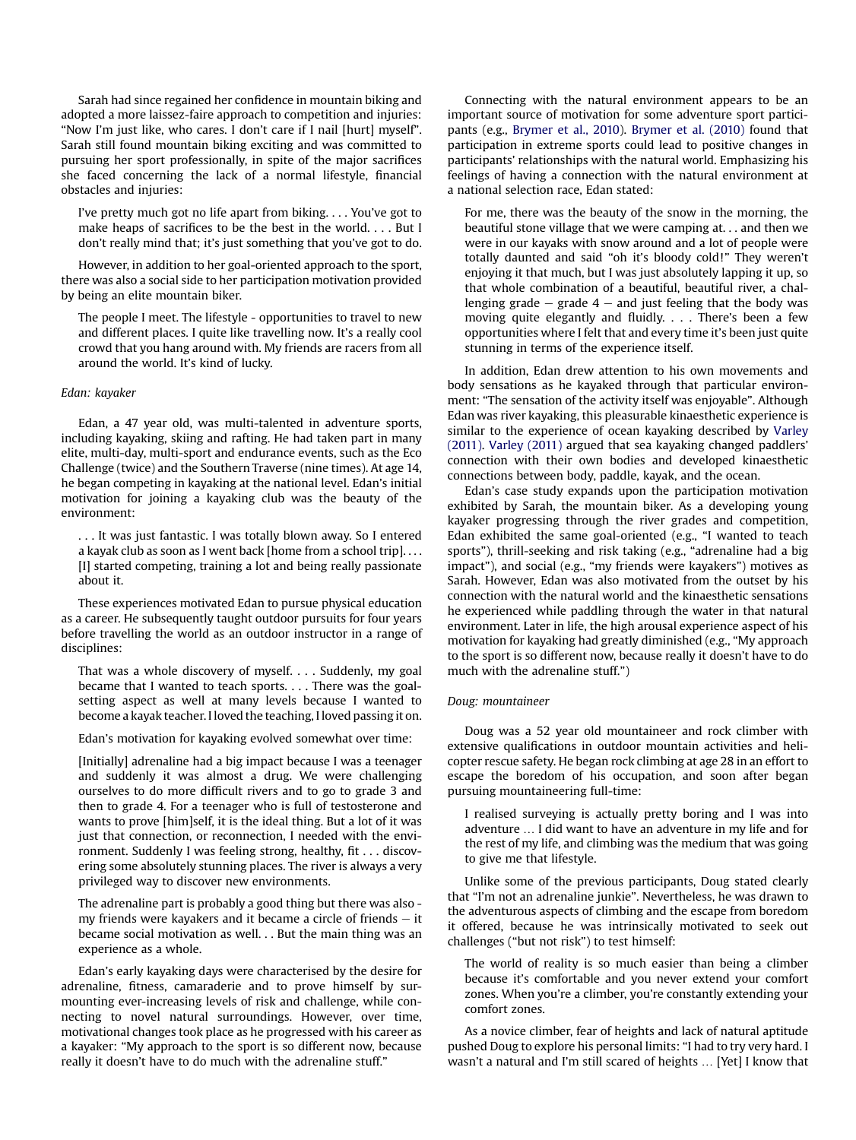Sarah had since regained her confidence in mountain biking and adopted a more laissez-faire approach to competition and injuries: "Now I'm just like, who cares. I don't care if I nail [hurt] myself". Sarah still found mountain biking exciting and was committed to pursuing her sport professionally, in spite of the major sacrifices she faced concerning the lack of a normal lifestyle, financial obstacles and injuries:

I've pretty much got no life apart from biking. . . . You've got to make heaps of sacrifices to be the best in the world. . . . But I don't really mind that; it's just something that you've got to do.

However, in addition to her goal-oriented approach to the sport, there was also a social side to her participation motivation provided by being an elite mountain biker.

The people I meet. The lifestyle - opportunities to travel to new and different places. I quite like travelling now. It's a really cool crowd that you hang around with. My friends are racers from all around the world. It's kind of lucky.

#### Edan: kayaker

Edan, a 47 year old, was multi-talented in adventure sports, including kayaking, skiing and rafting. He had taken part in many elite, multi-day, multi-sport and endurance events, such as the Eco Challenge (twice) and the Southern Traverse (nine times). At age 14, he began competing in kayaking at the national level. Edan's initial motivation for joining a kayaking club was the beauty of the environment:

. . . It was just fantastic. I was totally blown away. So I entered a kayak club as soon as I went back [home from a school trip]. . . . [I] started competing, training a lot and being really passionate about it.

These experiences motivated Edan to pursue physical education as a career. He subsequently taught outdoor pursuits for four years before travelling the world as an outdoor instructor in a range of disciplines:

That was a whole discovery of myself. . . . Suddenly, my goal became that I wanted to teach sports. . . . There was the goalsetting aspect as well at many levels because I wanted to become a kayak teacher. I loved the teaching, I loved passing it on.

Edan's motivation for kayaking evolved somewhat over time:

[Initially] adrenaline had a big impact because I was a teenager and suddenly it was almost a drug. We were challenging ourselves to do more difficult rivers and to go to grade 3 and then to grade 4. For a teenager who is full of testosterone and wants to prove [him]self, it is the ideal thing. But a lot of it was just that connection, or reconnection. I needed with the environment. Suddenly I was feeling strong, healthy, fit . . . discovering some absolutely stunning places. The river is always a very privileged way to discover new environments.

The adrenaline part is probably a good thing but there was also my friends were kayakers and it became a circle of friends  $-$  it became social motivation as well. . . But the main thing was an experience as a whole.

Edan's early kayaking days were characterised by the desire for adrenaline, fitness, camaraderie and to prove himself by surmounting ever-increasing levels of risk and challenge, while connecting to novel natural surroundings. However, over time, motivational changes took place as he progressed with his career as a kayaker: "My approach to the sport is so different now, because really it doesn't have to do much with the adrenaline stuff."

Connecting with the natural environment appears to be an important source of motivation for some adventure sport participants (e.g., [Brymer](#page-7-0) et al., 2010). [Brymer](#page-7-0) et al. (2010) found that participation in extreme sports could lead to positive changes in participants' relationships with the natural world. Emphasizing his feelings of having a connection with the natural environment at a national selection race, Edan stated:

For me, there was the beauty of the snow in the morning, the beautiful stone village that we were camping at. . . and then we were in our kayaks with snow around and a lot of people were totally daunted and said "oh it's bloody cold!" They weren't enjoying it that much, but I was just absolutely lapping it up, so that whole combination of a beautiful, beautiful river, a challenging grade  $-$  grade  $4 -$  and just feeling that the body was moving quite elegantly and fluidly. . . . There's been a few opportunities where I felt that and every time it's been just quite stunning in terms of the experience itself.

In addition, Edan drew attention to his own movements and body sensations as he kayaked through that particular environment: "The sensation of the activity itself was enjoyable". Although Edan was river kayaking, this pleasurable kinaesthetic experience is similar to the experience of ocean kayaking described by [Varley](#page-8-0) [\(2011\)](#page-8-0). [Varley](#page-8-0) (2011) argued that sea kayaking changed paddlers' connection with their own bodies and developed kinaesthetic connections between body, paddle, kayak, and the ocean.

Edan's case study expands upon the participation motivation exhibited by Sarah, the mountain biker. As a developing young kayaker progressing through the river grades and competition, Edan exhibited the same goal-oriented (e.g., "I wanted to teach sports"), thrill-seeking and risk taking (e.g., "adrenaline had a big impact"), and social (e.g., "my friends were kayakers") motives as Sarah. However, Edan was also motivated from the outset by his connection with the natural world and the kinaesthetic sensations he experienced while paddling through the water in that natural environment. Later in life, the high arousal experience aspect of his motivation for kayaking had greatly diminished (e.g., "My approach to the sport is so different now, because really it doesn't have to do much with the adrenaline stuff.")

#### Doug: mountaineer

Doug was a 52 year old mountaineer and rock climber with extensive qualifications in outdoor mountain activities and helicopter rescue safety. He began rock climbing at age 28 in an effort to escape the boredom of his occupation, and soon after began pursuing mountaineering full-time:

I realised surveying is actually pretty boring and I was into adventure ... I did want to have an adventure in my life and for the rest of my life, and climbing was the medium that was going to give me that lifestyle.

Unlike some of the previous participants, Doug stated clearly that "I'm not an adrenaline junkie". Nevertheless, he was drawn to the adventurous aspects of climbing and the escape from boredom it offered, because he was intrinsically motivated to seek out challenges ("but not risk") to test himself:

The world of reality is so much easier than being a climber because it's comfortable and you never extend your comfort zones. When you're a climber, you're constantly extending your comfort zones.

As a novice climber, fear of heights and lack of natural aptitude pushed Doug to explore his personal limits: "I had to try very hard. I wasn't a natural and I'm still scared of heights ... [Yet] I know that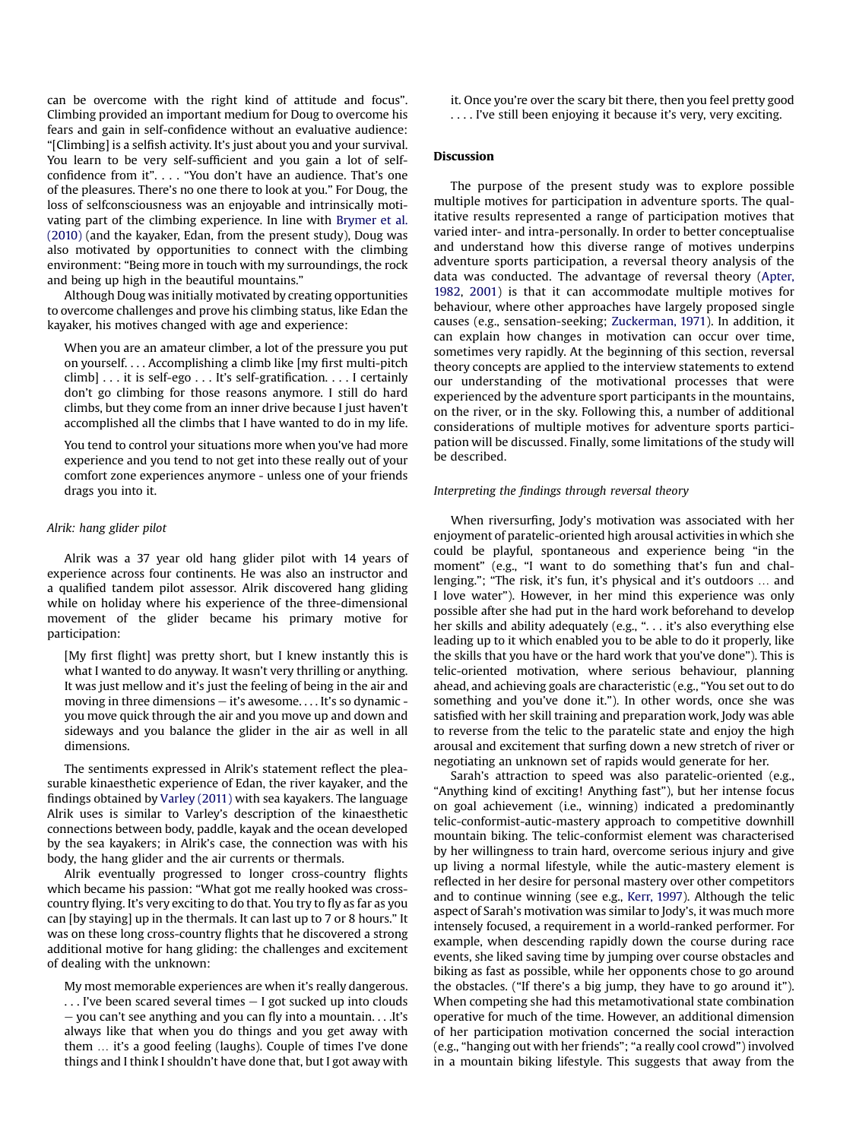can be overcome with the right kind of attitude and focus". Climbing provided an important medium for Doug to overcome his fears and gain in self-confidence without an evaluative audience: "[Climbing] is a selfish activity. It's just about you and your survival. You learn to be very self-sufficient and you gain a lot of selfconfidence from it".... "You don't have an audience. That's one of the pleasures. There's no one there to look at you." For Doug, the loss of selfconsciousness was an enjoyable and intrinsically motivating part of the climbing experience. In line with [Brymer](#page-7-0) et al. [\(2010\)](#page-7-0) (and the kayaker, Edan, from the present study), Doug was also motivated by opportunities to connect with the climbing environment: "Being more in touch with my surroundings, the rock and being up high in the beautiful mountains."

Although Doug was initially motivated by creating opportunities to overcome challenges and prove his climbing status, like Edan the kayaker, his motives changed with age and experience:

When you are an amateur climber, a lot of the pressure you put on yourself. . . . Accomplishing a climb like [my first multi-pitch climb] . . . it is self-ego . . . It's self-gratification. . . . I certainly don't go climbing for those reasons anymore. I still do hard climbs, but they come from an inner drive because I just haven't accomplished all the climbs that I have wanted to do in my life.

You tend to control your situations more when you've had more experience and you tend to not get into these really out of your comfort zone experiences anymore - unless one of your friends drags you into it.

#### Alrik: hang glider pilot

Alrik was a 37 year old hang glider pilot with 14 years of experience across four continents. He was also an instructor and a qualified tandem pilot assessor. Alrik discovered hang gliding while on holiday where his experience of the three-dimensional movement of the glider became his primary motive for participation:

[My first flight] was pretty short, but I knew instantly this is what I wanted to do anyway. It wasn't very thrilling or anything. It was just mellow and it's just the feeling of being in the air and moving in three dimensions  $-$  it's awesome.... It's so dynamic you move quick through the air and you move up and down and sideways and you balance the glider in the air as well in all dimensions.

The sentiments expressed in Alrik's statement reflect the pleasurable kinaesthetic experience of Edan, the river kayaker, and the findings obtained by Varley [\(2011\)](#page-8-0) with sea kayakers. The language Alrik uses is similar to Varley's description of the kinaesthetic connections between body, paddle, kayak and the ocean developed by the sea kayakers; in Alrik's case, the connection was with his body, the hang glider and the air currents or thermals.

Alrik eventually progressed to longer cross-country flights which became his passion: "What got me really hooked was crosscountry flying. It's very exciting to do that. You try to fly as far as you can [by staying] up in the thermals. It can last up to 7 or 8 hours." It was on these long cross-country flights that he discovered a strong additional motive for hang gliding: the challenges and excitement of dealing with the unknown:

My most memorable experiences are when it's really dangerous.  $\ldots$  I've been scared several times  $-$  I got sucked up into clouds e you can't see anything and you can fly into a mountain. . . .It's always like that when you do things and you get away with them ... it's a good feeling (laughs). Couple of times I've done things and I think I shouldn't have done that, but I got away with it. Once you're over the scary bit there, then you feel pretty good . ... I've still been enjoying it because it's very, very exciting.

#### **Discussion**

The purpose of the present study was to explore possible multiple motives for participation in adventure sports. The qualitative results represented a range of participation motives that varied inter- and intra-personally. In order to better conceptualise and understand how this diverse range of motives underpins adventure sports participation, a reversal theory analysis of the data was conducted. The advantage of reversal theory [\(Apter,](#page-7-0) [1982,](#page-7-0) [2001](#page-7-0)) is that it can accommodate multiple motives for behaviour, where other approaches have largely proposed single causes (e.g., sensation-seeking; [Zuckerman,](#page-8-0) 1971). In addition, it can explain how changes in motivation can occur over time, sometimes very rapidly. At the beginning of this section, reversal theory concepts are applied to the interview statements to extend our understanding of the motivational processes that were experienced by the adventure sport participants in the mountains, on the river, or in the sky. Following this, a number of additional considerations of multiple motives for adventure sports participation will be discussed. Finally, some limitations of the study will be described.

# Interpreting the findings through reversal theory

When riversurfing, Jody's motivation was associated with her enjoyment of paratelic-oriented high arousal activities in which she could be playful, spontaneous and experience being "in the moment" (e.g., "I want to do something that's fun and challenging."; "The risk, it's fun, it's physical and it's outdoors ... and I love water"). However, in her mind this experience was only possible after she had put in the hard work beforehand to develop her skills and ability adequately (e.g., ". . . it's also everything else leading up to it which enabled you to be able to do it properly, like the skills that you have or the hard work that you've done"). This is telic-oriented motivation, where serious behaviour, planning ahead, and achieving goals are characteristic (e.g., "You set out to do something and you've done it."). In other words, once she was satisfied with her skill training and preparation work, Jody was able to reverse from the telic to the paratelic state and enjoy the high arousal and excitement that surfing down a new stretch of river or negotiating an unknown set of rapids would generate for her.

Sarah's attraction to speed was also paratelic-oriented (e.g., "Anything kind of exciting! Anything fast"), but her intense focus on goal achievement (i.e., winning) indicated a predominantly telic-conformist-autic-mastery approach to competitive downhill mountain biking. The telic-conformist element was characterised by her willingness to train hard, overcome serious injury and give up living a normal lifestyle, while the autic-mastery element is reflected in her desire for personal mastery over other competitors and to continue winning (see e.g., Kerr, [1997](#page-8-0)). Although the telic aspect of Sarah's motivation was similar to Jody's, it was much more intensely focused, a requirement in a world-ranked performer. For example, when descending rapidly down the course during race events, she liked saving time by jumping over course obstacles and biking as fast as possible, while her opponents chose to go around the obstacles. ("If there's a big jump, they have to go around it"). When competing she had this metamotivational state combination operative for much of the time. However, an additional dimension of her participation motivation concerned the social interaction (e.g., "hanging out with her friends"; "a really cool crowd") involved in a mountain biking lifestyle. This suggests that away from the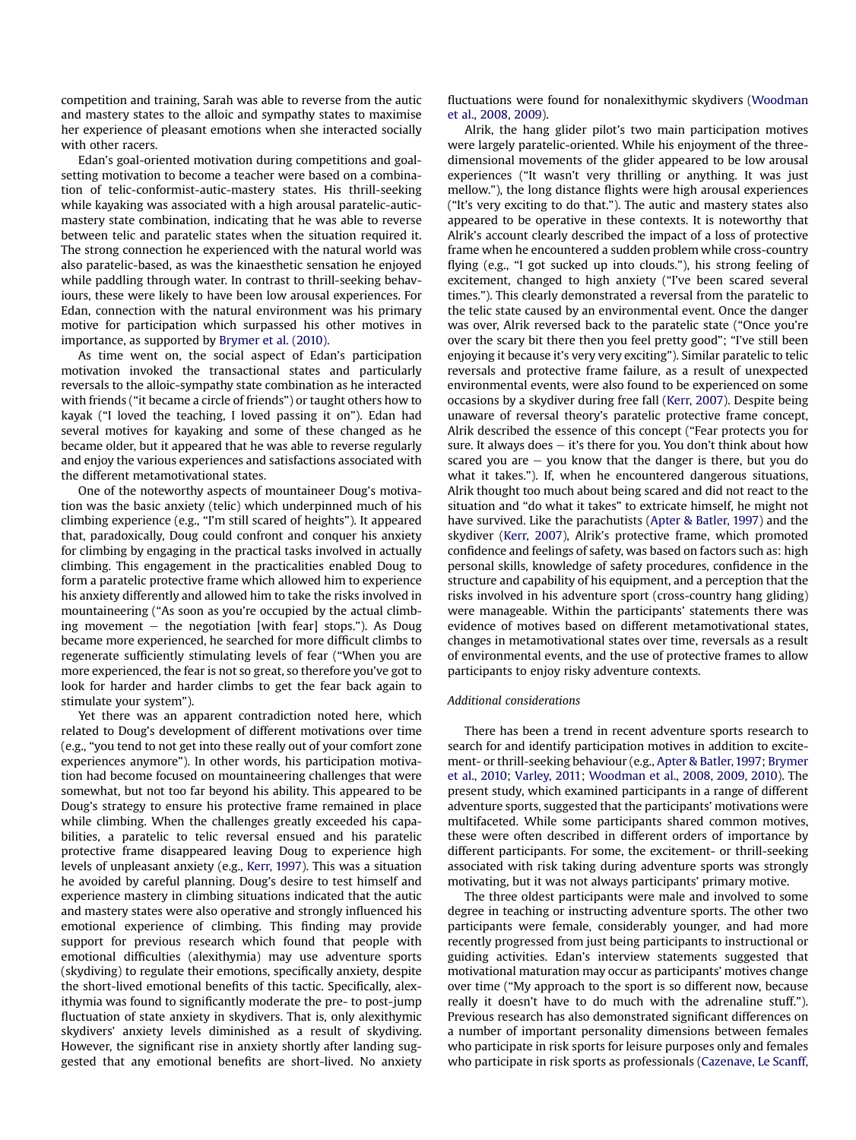competition and training, Sarah was able to reverse from the autic and mastery states to the alloic and sympathy states to maximise her experience of pleasant emotions when she interacted socially with other racers.

Edan's goal-oriented motivation during competitions and goalsetting motivation to become a teacher were based on a combination of telic-conformist-autic-mastery states. His thrill-seeking while kayaking was associated with a high arousal paratelic-auticmastery state combination, indicating that he was able to reverse between telic and paratelic states when the situation required it. The strong connection he experienced with the natural world was also paratelic-based, as was the kinaesthetic sensation he enjoyed while paddling through water. In contrast to thrill-seeking behaviours, these were likely to have been low arousal experiences. For Edan, connection with the natural environment was his primary motive for participation which surpassed his other motives in importance, as supported by [Brymer](#page-7-0) et al. (2010).

As time went on, the social aspect of Edan's participation motivation invoked the transactional states and particularly reversals to the alloic-sympathy state combination as he interacted with friends ("it became a circle of friends") or taught others how to kayak ("I loved the teaching, I loved passing it on"). Edan had several motives for kayaking and some of these changed as he became older, but it appeared that he was able to reverse regularly and enjoy the various experiences and satisfactions associated with the different metamotivational states.

One of the noteworthy aspects of mountaineer Doug's motivation was the basic anxiety (telic) which underpinned much of his climbing experience (e.g., "I'm still scared of heights"). It appeared that, paradoxically, Doug could confront and conquer his anxiety for climbing by engaging in the practical tasks involved in actually climbing. This engagement in the practicalities enabled Doug to form a paratelic protective frame which allowed him to experience his anxiety differently and allowed him to take the risks involved in mountaineering ("As soon as you're occupied by the actual climbing movement  $-$  the negotiation [with fear] stops."). As Doug became more experienced, he searched for more difficult climbs to regenerate sufficiently stimulating levels of fear ("When you are more experienced, the fear is not so great, so therefore you've got to look for harder and harder climbs to get the fear back again to stimulate your system").

Yet there was an apparent contradiction noted here, which related to Doug's development of different motivations over time (e.g., "you tend to not get into these really out of your comfort zone experiences anymore"). In other words, his participation motivation had become focused on mountaineering challenges that were somewhat, but not too far beyond his ability. This appeared to be Doug's strategy to ensure his protective frame remained in place while climbing. When the challenges greatly exceeded his capabilities, a paratelic to telic reversal ensued and his paratelic protective frame disappeared leaving Doug to experience high levels of unpleasant anxiety (e.g., Kerr, [1997\)](#page-8-0). This was a situation he avoided by careful planning. Doug's desire to test himself and experience mastery in climbing situations indicated that the autic and mastery states were also operative and strongly influenced his emotional experience of climbing. This finding may provide support for previous research which found that people with emotional difficulties (alexithymia) may use adventure sports (skydiving) to regulate their emotions, specifically anxiety, despite the short-lived emotional benefits of this tactic. Specifically, alexithymia was found to significantly moderate the pre- to post-jump fluctuation of state anxiety in skydivers. That is, only alexithymic skydivers' anxiety levels diminished as a result of skydiving. However, the significant rise in anxiety shortly after landing suggested that any emotional benefits are short-lived. No anxiety

fluctuations were found for nonalexithymic skydivers [\(Woodman](#page-8-0) et al., [2008](#page-8-0), [2009](#page-8-0)).

Alrik, the hang glider pilot's two main participation motives were largely paratelic-oriented. While his enjoyment of the threedimensional movements of the glider appeared to be low arousal experiences ("It wasn't very thrilling or anything. It was just mellow."), the long distance flights were high arousal experiences ("It's very exciting to do that."). The autic and mastery states also appeared to be operative in these contexts. It is noteworthy that Alrik's account clearly described the impact of a loss of protective frame when he encountered a sudden problem while cross-country flying (e.g., "I got sucked up into clouds."), his strong feeling of excitement, changed to high anxiety ("I've been scared several times."). This clearly demonstrated a reversal from the paratelic to the telic state caused by an environmental event. Once the danger was over, Alrik reversed back to the paratelic state ("Once you're over the scary bit there then you feel pretty good"; "I've still been enjoying it because it's very very exciting"). Similar paratelic to telic reversals and protective frame failure, as a result of unexpected environmental events, were also found to be experienced on some occasions by a skydiver during free fall (Kerr, [2007](#page-8-0)). Despite being unaware of reversal theory's paratelic protective frame concept, Alrik described the essence of this concept ("Fear protects you for sure. It always does  $-$  it's there for you. You don't think about how scared you are  $-$  you know that the danger is there, but you do what it takes."). If, when he encountered dangerous situations, Alrik thought too much about being scared and did not react to the situation and "do what it takes" to extricate himself, he might not have survived. Like the parachutists (Apter & [Batler,](#page-7-0) 1997) and the skydiver (Kerr, [2007](#page-8-0)), Alrik's protective frame, which promoted confidence and feelings of safety, was based on factors such as: high personal skills, knowledge of safety procedures, confidence in the structure and capability of his equipment, and a perception that the risks involved in his adventure sport (cross-country hang gliding) were manageable. Within the participants' statements there was evidence of motives based on different metamotivational states, changes in metamotivational states over time, reversals as a result of environmental events, and the use of protective frames to allow participants to enjoy risky adventure contexts.

#### Additional considerations

There has been a trend in recent adventure sports research to search for and identify participation motives in addition to excitement- or thrill-seeking behaviour (e.g., Apter & [Batler,1997](#page-7-0); [Brymer](#page-7-0) et al., [2010;](#page-7-0) [Varley,](#page-8-0) 2011; [Woodman](#page-8-0) et al., 2008, [2009](#page-8-0), [2010](#page-8-0)). The present study, which examined participants in a range of different adventure sports, suggested that the participants' motivations were multifaceted. While some participants shared common motives, these were often described in different orders of importance by different participants. For some, the excitement- or thrill-seeking associated with risk taking during adventure sports was strongly motivating, but it was not always participants' primary motive.

The three oldest participants were male and involved to some degree in teaching or instructing adventure sports. The other two participants were female, considerably younger, and had more recently progressed from just being participants to instructional or guiding activities. Edan's interview statements suggested that motivational maturation may occur as participants' motives change over time ("My approach to the sport is so different now, because really it doesn't have to do much with the adrenaline stuff."). Previous research has also demonstrated significant differences on a number of important personality dimensions between females who participate in risk sports for leisure purposes only and females who participate in risk sports as professionals [\(Cazenave,](#page-7-0) Le Scanff,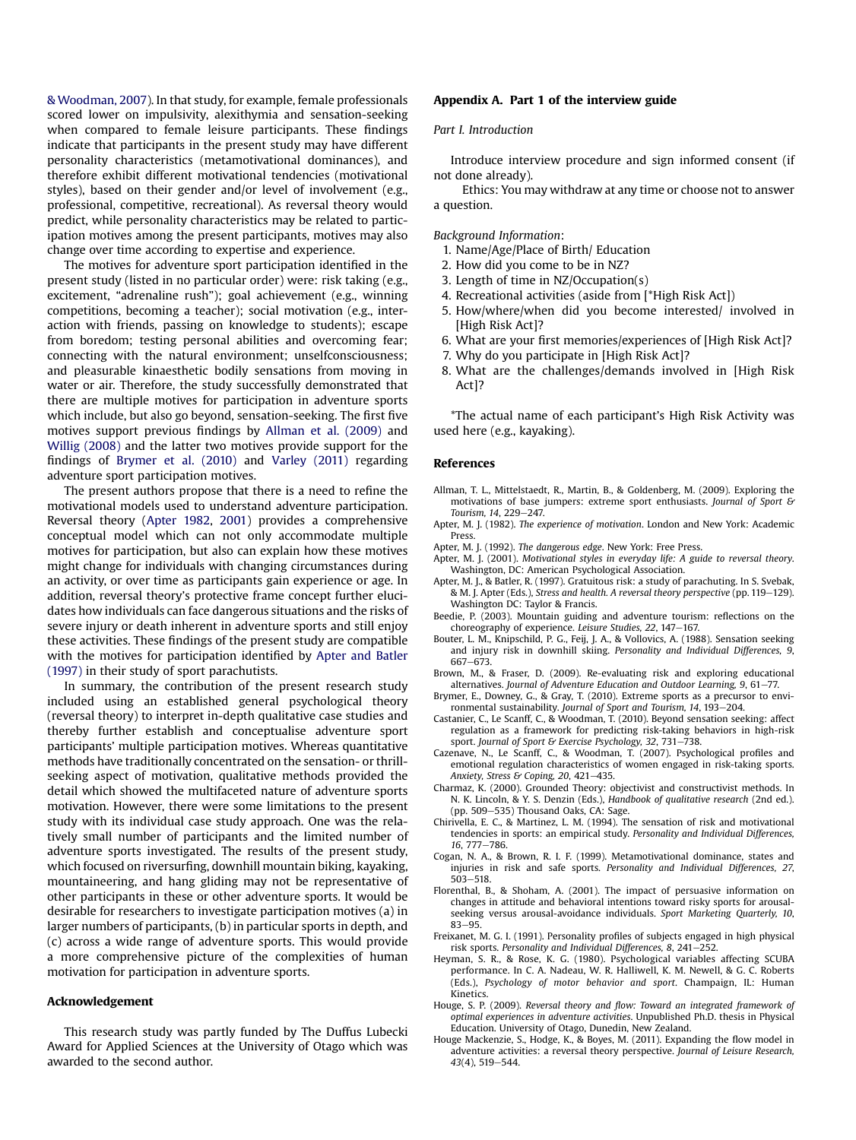<span id="page-7-0"></span>& Woodman, 2007). In that study, for example, female professionals scored lower on impulsivity, alexithymia and sensation-seeking when compared to female leisure participants. These findings indicate that participants in the present study may have different personality characteristics (metamotivational dominances), and therefore exhibit different motivational tendencies (motivational styles), based on their gender and/or level of involvement (e.g., professional, competitive, recreational). As reversal theory would predict, while personality characteristics may be related to participation motives among the present participants, motives may also change over time according to expertise and experience.

The motives for adventure sport participation identified in the present study (listed in no particular order) were: risk taking (e.g., excitement, "adrenaline rush"); goal achievement (e.g., winning competitions, becoming a teacher); social motivation (e.g., interaction with friends, passing on knowledge to students); escape from boredom; testing personal abilities and overcoming fear; connecting with the natural environment; unselfconsciousness; and pleasurable kinaesthetic bodily sensations from moving in water or air. Therefore, the study successfully demonstrated that there are multiple motives for participation in adventure sports which include, but also go beyond, sensation-seeking. The first five motives support previous findings by Allman et al. (2009) and Willig [\(2008\)](#page-8-0) and the latter two motives provide support for the findings of Brymer et al. (2010) and [Varley](#page-8-0) (2011) regarding adventure sport participation motives.

The present authors propose that there is a need to refine the motivational models used to understand adventure participation. Reversal theory (Apter 1982, 2001) provides a comprehensive conceptual model which can not only accommodate multiple motives for participation, but also can explain how these motives might change for individuals with changing circumstances during an activity, or over time as participants gain experience or age. In addition, reversal theory's protective frame concept further elucidates how individuals can face dangerous situations and the risks of severe injury or death inherent in adventure sports and still enjoy these activities. These findings of the present study are compatible with the motives for participation identified by Apter and Batler (1997) in their study of sport parachutists.

In summary, the contribution of the present research study included using an established general psychological theory (reversal theory) to interpret in-depth qualitative case studies and thereby further establish and conceptualise adventure sport participants' multiple participation motives. Whereas quantitative methods have traditionally concentrated on the sensation- or thrillseeking aspect of motivation, qualitative methods provided the detail which showed the multifaceted nature of adventure sports motivation. However, there were some limitations to the present study with its individual case study approach. One was the relatively small number of participants and the limited number of adventure sports investigated. The results of the present study, which focused on riversurfing, downhill mountain biking, kayaking, mountaineering, and hang gliding may not be representative of other participants in these or other adventure sports. It would be desirable for researchers to investigate participation motives (a) in larger numbers of participants, (b) in particular sports in depth, and (c) across a wide range of adventure sports. This would provide a more comprehensive picture of the complexities of human motivation for participation in adventure sports.

#### Acknowledgement

This research study was partly funded by The Duffus Lubecki Award for Applied Sciences at the University of Otago which was awarded to the second author.

#### Appendix A. Part 1 of the interview guide

#### Part I. Introduction

Introduce interview procedure and sign informed consent (if not done already).

Ethics: You may withdraw at any time or choose not to answer a question.

Background Information:

- 1. Name/Age/Place of Birth/ Education
- 2. How did you come to be in NZ?
- 3. Length of time in NZ/Occupation(s)
- 4. Recreational activities (aside from [\*High Risk Act])
- 5. How/where/when did you become interested/ involved in [High Risk Act]?
- 6. What are your first memories/experiences of [High Risk Act]?
- 7. Why do you participate in [High Risk Act]?
- 8. What are the challenges/demands involved in [High Risk Act]?

\*The actual name of each participant's High Risk Activity was used here (e.g., kayaking).

#### References

- Allman, T. L., Mittelstaedt, R., Martin, B., & Goldenberg, M. (2009). Exploring the motivations of base jumpers: extreme sport enthusiasts. Journal of Sport & Tourism, 14, 229-247.
- Apter, M. J. (1982). The experience of motivation. London and New York: Academic Press.
- Apter, M. J. (1992). The dangerous edge. New York: Free Press.
- Apter, M. J. (2001). Motivational styles in everyday life: A guide to reversal theory. Washington, DC: American Psychological Association.
- Apter, M. J., & Batler, R. (1997). Gratuitous risk: a study of parachuting. In S. Svebak, & M. J. Apter (Eds.), Stress and health. A reversal theory perspective (pp. 119–129). Washington DC: Taylor & Francis.
- Beedie, P. (2003). Mountain guiding and adventure tourism: reflections on the choreography of experience. Leisure Studies,  $22$ ,  $147-167$ .
- Bouter, L. M., Knipschild, P. G., Feij, J. A., & Vollovics, A. (1988). Sensation seeking and injury risk in downhill skiing. Personality and Individual Differences, 9, 667-673.
- Brown, M., & Fraser, D. (2009). Re-evaluating risk and exploring educational alternatives. Journal of Adventure Education and Outdoor Learning, 9, 61-77.
- Brymer, E., Downey, G., & Gray, T. (2010). Extreme sports as a precursor to envi-
- ronmental sustainability. Journal of Sport and Tourism, 14, 193–204.<br>Castanier, C., Le Scanff, C., & Woodman, T. (2010). Beyond sensation seeking: affect regulation as a framework for predicting risk-taking behaviors in high-risk sport. Journal of Sport & Exercise Psychology, 32, 731-738.
- Cazenave, N., Le Scanff, C., & Woodman, T. (2007). Psychological profiles and emotional regulation characteristics of women engaged in risk-taking sports. Anxiety, Stress & Coping, 20, 421-435.
- Charmaz, K. (2000). Grounded Theory: objectivist and constructivist methods. In N. K. Lincoln, & Y. S. Denzin (Eds.), Handbook of qualitative research (2nd ed.). (pp. 509-535) Thousand Oaks, CA: Sage.
- Chirivella, E. C., & Martinez, L. M. (1994). The sensation of risk and motivational tendencies in sports: an empirical study. Personality and Individual Differences, 16, 777-786.
- Cogan, N. A., & Brown, R. I. F. (1999). Metamotivational dominance, states and injuries in risk and safe sports. Personality and Individual Differences, 27,  $503 - 518$
- Florenthal, B., & Shoham, A. (2001). The impact of persuasive information on changes in attitude and behavioral intentions toward risky sports for arousalseeking versus arousal-avoidance individuals. Sport Marketing Quarterly, 10, 83-95.
- Freixanet, M. G. I. (1991). Personality profiles of subjects engaged in high physical risk sports. Personality and Individual Differences, 8, 241-252.
- Heyman, S. R., & Rose, K. G. (1980). Psychological variables affecting SCUBA performance. In C. A. Nadeau, W. R. Halliwell, K. M. Newell, & G. C. Roberts (Eds.), Psychology of motor behavior and sport. Champaign, IL: Human Kinetics.
- Houge, S. P. (2009). Reversal theory and flow: Toward an integrated framework of optimal experiences in adventure activities. Unpublished Ph.D. thesis in Physical Education. University of Otago, Dunedin, New Zealand.
- Houge Mackenzie, S., Hodge, K., & Boyes, M. (2011). Expanding the flow model in adventure activities: a reversal theory perspective. Journal of Leisure Research, 43(4), 519-544.